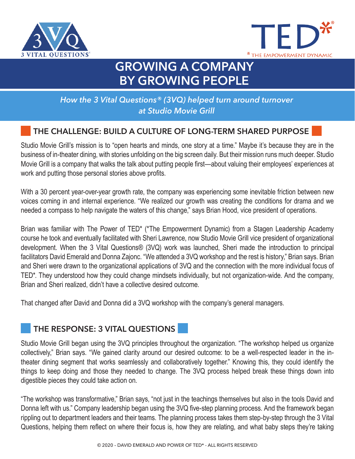



# **GROWING A COMPANY BY GROWING PEOPLE**

### *How the 3 Vital Questions® (3VQ) helped turn around turnover at Studio Movie Grill*

## **THE CHALLENGE: BUILD A CULTURE OF LONG-TERM SHARED PURPOSE**

Studio Movie Grill's mission is to "open hearts and minds, one story at a time." Maybe it's because they are in the business of in-theater dining, with stories unfolding on the big screen daily. But their mission runs much deeper. Studio Movie Grill is a company that walks the talk about putting people first—about valuing their employees' experiences at work and putting those personal stories above profits.

With a 30 percent year-over-year growth rate, the company was experiencing some inevitable friction between new voices coming in and internal experience. "We realized our growth was creating the conditions for drama and we needed a compass to help navigate the waters of this change," says Brian Hood, vice president of operations.

Brian was familiar with The Power of TED\* (\*The Empowerment Dynamic) from a Stagen Leadership Academy course he took and eventually facilitated with Sheri Lawrence, now Studio Movie Grill vice president of organizational development. When the 3 Vital Questions® (3VQ) work was launched, Sheri made the introduction to principal facilitators David Emerald and Donna Zajonc. "We attended a 3VQ workshop and the rest is history," Brian says. Brian and Sheri were drawn to the organizational applications of 3VQ and the connection with the more individual focus of TED\*. They understood how they could change mindsets individually, but not organization-wide. And the company, Brian and Sheri realized, didn't have a collective desired outcome.

That changed after David and Donna did a 3VQ workshop with the company's general managers.

#### **THE RESPONSE: 3 VITAL QUESTIONS**

Studio Movie Grill began using the 3VQ principles throughout the organization. "The workshop helped us organize collectively," Brian says. "We gained clarity around our desired outcome: to be a well-respected leader in the intheater dining segment that works seamlessly and collaboratively together." Knowing this, they could identify the things to keep doing and those they needed to change. The 3VQ process helped break these things down into digestible pieces they could take action on.

"The workshop was transformative," Brian says, "not just in the teachings themselves but also in the tools David and Donna left with us." Company leadership began using the 3VQ five-step planning process. And the framework began rippling out to department leaders and their teams. The planning process takes them step-by-step through the 3 Vital Questions, helping them reflect on where their focus is, how they are relating, and what baby steps they're taking